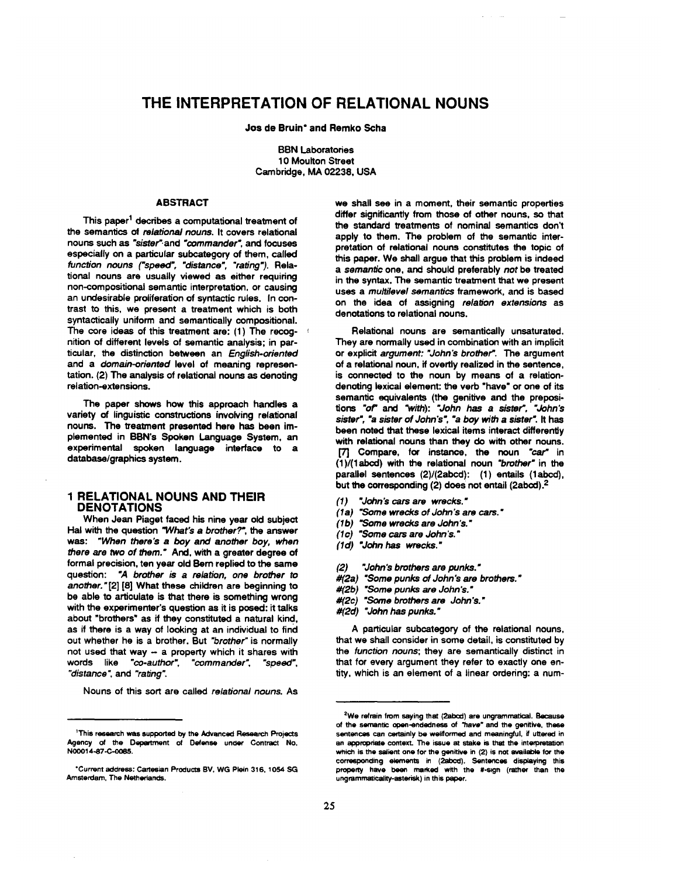# **THE INTERPRETATION OF RELATIONAL NOUNS**

# Joe de Bruin" and Remko Scha

BBN Laboratories 10 Mouiton Street Cambridge, MA 02238, USA

# ABSTRACT

This paper<sup>1</sup> decribes a computational treatment of the semantics of *relational nouns.* It covers relational nouns such as "sister.and *"commander;* and focuses especially on a particular subcategory of them, called *function nouns ('speed; "distance', "rating').* Relational nouns are usually viewed as either requiring non-compositional semantic interpretation, or causing an undesirable proliferation of syntactic rules. In contrast to this, we present a treatment which is both syntactically uniform and semantically compositional. The core ideas of this treatment are: (1) The recognition of different levels of semantic analysis; in particular, the distinction between an *English-oriented*  and a *domain-oriented* level of meaning representation. (2) The analysis of relational nouns as denoting relation-extensions.

The paper shows how this approach handles a variety of linguistic constructions involving relational nouns. The treatment presented here has been implemented in BBN's Spoken Language System, an experimental spoken language interface to a database/graphics system.

# **1 RELATIONAL NOUNS AND THEIR**  DENOTATIONS

When Jean Piaget faced his nine year old subject Hal with the question *"What's a brother?"*, the answer was: *"When there's a boy and another boy, when there are two of them."* And, with a greater degree of formal precision, ten year old Bern replied to the same question: "A brother is a relation, one brother to *another.* "[2] [8] What these children are beginning to be able to articulate is that there is something wrong with the experimenter's question as it is posed: it talks about "brothers" as if they constituted a natural kind, as if there is a way of looking at an individual to find out whether he is a brother. But *"brother"* is normally not used that way - a property which it shares with words like *"co-author; "commander', "speed', "distance',* and *"rating'.* 

Nouns of this sort are called *relational nouns.* As

we shall see in a moment, their semantic properties differ significantly from those of other nouns, so that the standard treatments of nominal semantics don't apply to them. The problem of the semantic interpretation of relational nouns constitutes the topic of this paper. We shall argue that this problem is indeed *a semantic* one, and should preferably *not be* treated in the syntax. The semantic treatment that we present uses a *multilevel semantics* framework, and is based on the idea of assigning *relation extensions* as denotations to relational nouns.

Relational nouns are semantically unsaturated. They are normally used in combination with an implicit or explicit *argument: "John's brother.. The* argument of a relational noun, if overtly realized in the sentence, is connected to the noun by means of a relationdenoting lexical element: the verb "have" or one of its semantic equivalents (the genitive and the preposi*tions "of" and "with): "John has a sister', "John's*  sister". "a sister of John's". "a boy with a sister". It has been noted that these lexical items interact differently with relational nouns than they do with other nouns. [7] Compare, for instance, the noun "car" in (1)/(labcd) with the relational noun *"brother"* in the parallel sentences (2)/(2abcd): (1) entails (labcd), but the corresponding (2) does not entail (2abcd).2

- *(1) "John's cars are wrecks."*
- *(la) "Some wrecks of John's are cars."*
- *( l b) "Some wrecks are John's."*
- *(1c)* "Some cars are John's."
- *( l d) "John has wrecks."*
- *(2) "John's brothers are punks."*
- *#(2a) "Some punks of John's are brothers."*
- *#(2b) "Some punks are John's."*
- *#(2c) "Some brothers are John's."*
- *#(2d) "John has punks."*

A particular subcategory of the relational nouns, that we shall consider in some detail, is constituted by *the function nouns;* they are semantically distinct in that for every argument they refer to exactly one entity, which is an element of a linear ordering: a hum-

<sup>1</sup>This research was supported by the Advanced Research Projects Agency of the Department of Defense under Contract No, N00014-87-C-0085.

<sup>&</sup>quot;Current address: Cartesian Products BV, WG Plem 316, 1054 SG Amsterdam, The Netherlands.

<sup>&</sup>lt;sup>2</sup>We refrain from saying that (2abod) are ungrammatical. Because of the semantic open-endedness of *"have" and the genitivQ, these*  sentences can certainly be wellformed and meaningful, if uttered in an appropriate context. The issue at stake is that the interpretation which is the salient one for the genitive in (2) is not available for the corresponding elements in (2abcd). Sentences displaying this property have been marked with the #-sign (rathor than the ungrammoticality-aotorisk) in this paper.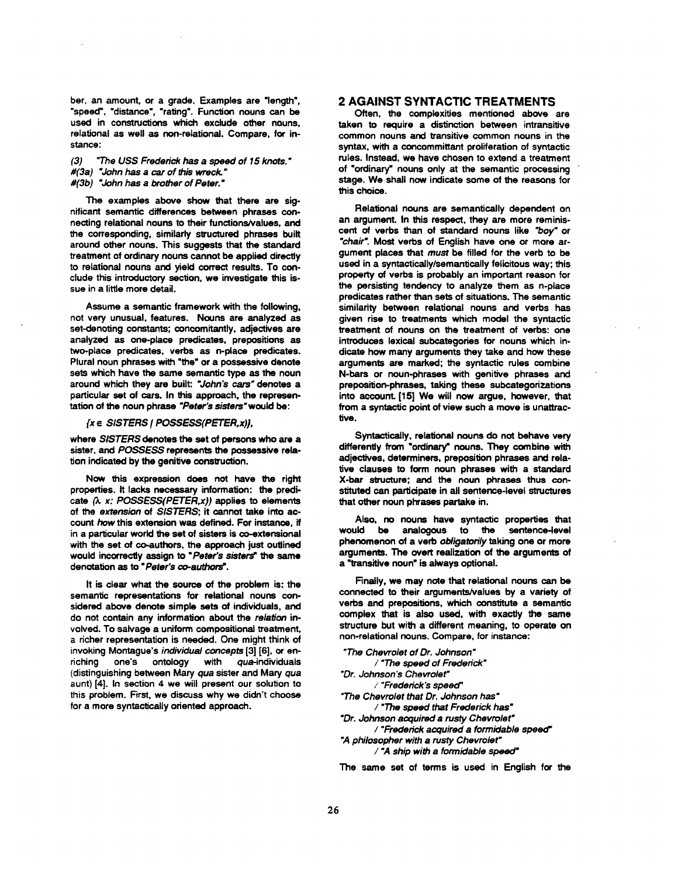bet, an amount, or a grade. Examples are "length", "speed', "distance", "rating". Function nouns can be used in constructions which exclude other nouns, relational as well as non-relational. Compare, for instance:

*(3) "The USS Frederick has a speed of 15 knots."*   $#(3a)$  "John has a car of this wreck." *#(3b) "John has a brolher of Peter."* 

The examples above show that there are significant semantic differences between phrases connecting relational nouns to their functions/values, and the corresponding, similarly structured phrases built around other nouns. This suggests that the standard treatment of ordinary nouns cannot be applied directly to relational nouns and yield correct results. To conclude this introductory section, we investigate this issue in a little more detail.

Assume a semantic framework with the following, not very unusual, features. Nouns are analyzed as set-denoting constants; concomitantly, adjectives are analyzed as one-place predicates, prepositions as two-place predicates, verbs as n-place predicates. Plural noun phrases with "the" or a possessive denote sets which have the same semantic type as the noun around which they are built: *"John's cars"* denotes a particular set of cars. In this approach, the representation of the noun phrase "Peter's sisters" would be:

### *{x • SISTERS / POSSESS(PETER, x)},*

where *SISTERS* denotes the set of persons who are a sister, and *POSSESS* represents the possessive relation indicated by the genitive construction.

Now this expression does not have the right properties. It lacks necessary information: the predicate  $(A, x: POSSESS(PETER.x))$  applies to elements of the *extension of SISTERS;* it cannot take into account how this extension was defined. For instance, if in a particular world the set of sisters is co-extensional with the set of co-authors, the approach just outlined would incorrectly assign to *"Peter's sisters" the same*  denotation as to *"Peter's co-aulhors".* 

It is clear what the source of the problem is: the semantic representations for relational nouns considered above denote simple sets of individuals, and do not contain any information about the *relation* involved. To salvage a uniform compositional treatment, a richer representation is needed. One might think of invoking Montague's *individual concepts* [3] [6], or enone's ontology with qua-individuals (distinguishing between Mary *qua* sister and Mary *qua*  aunt) [4]. In section 4 we will present our solution to this problem. First, we discuss why we didn't choose for a more syntactically oriented approach.

# **2** AGAINST SYNTACTIC TREATMENTS

Often, the complexities mentioned above are taken to require a distinction between intransitive common nouns and transitive common nouns in the syntax, with a concommittant proliferation of syntactic rules. Instead, we have chosen to extend a treatment of "ordinary" nouns only at the semantic processing stage. We shall now indicate some of the reasons for this choice.

Relational nouns are semantically dependent on an argument. In this respect, they are more reminiscent of verbs than ot standard nouns like *"boy"* or *"chair'.* Most verbs of English have one or more argument places that *must be* filled for the verb to be used in a syntactically/semantically felicitous way; this property of verbs is probably an important reason for the persisting tendency to analyze them as n-place predicates rather than sets of situations. The semantic similarity between relational nouns and verbs has given rise to treatments which model the syntactic treatment of nouns on the treatment of verbs: one introduces lexical subcategories for nouns which indicate how many arguments they take and how these arguments are marked; the syntactic rules combine N-bara or noun-phrases with genitive phrases and preposition-phrases, taking these subcategorizations into account. [15] We will now argue, however, that from a syntactic point of view such a move is unattracfive.

Syntactically, relational nouns do not behave very differently from "ordinary" nouns. They combine with adjectives, determiners, preposition phrases and relafive clauses to form noun phrases with a standard X-bar structure; and the noun phrases thus constituted can participate in all sentence-level structures that other noun phrases partake in.

Also, no nouns have syntactic properties that would be analogous to the sentence-level phenomenon of a verb *obligatorily* taking one or more arguments. The overt realization of the arguments of a "transitive noun" is always optional.

Finally, we may note that relational nouns can be connected to their arguments/values by a variety of verbs and prepositions, which constitute a semantic complex that is also used, with exactly the same structure but with a different meaning, to operate on non-relational nouns. Compare, for instance:

*"The Chevrolet of Dr. Johnson" / "The speed of Frederick" "Dr. Johnson's Chevrolet" / "Frederick's speed ~ "The Chevrolet that Dr. Johnson has" / "The speed that Frederick has" "Dr. Johnson acquired a rusty Chevrolet" / "Frederick acquired a formidable speed" "A philosopher with a rusty Chevrolet"*  / "A ship with a formidable speed"

The same set of terms is used in English for the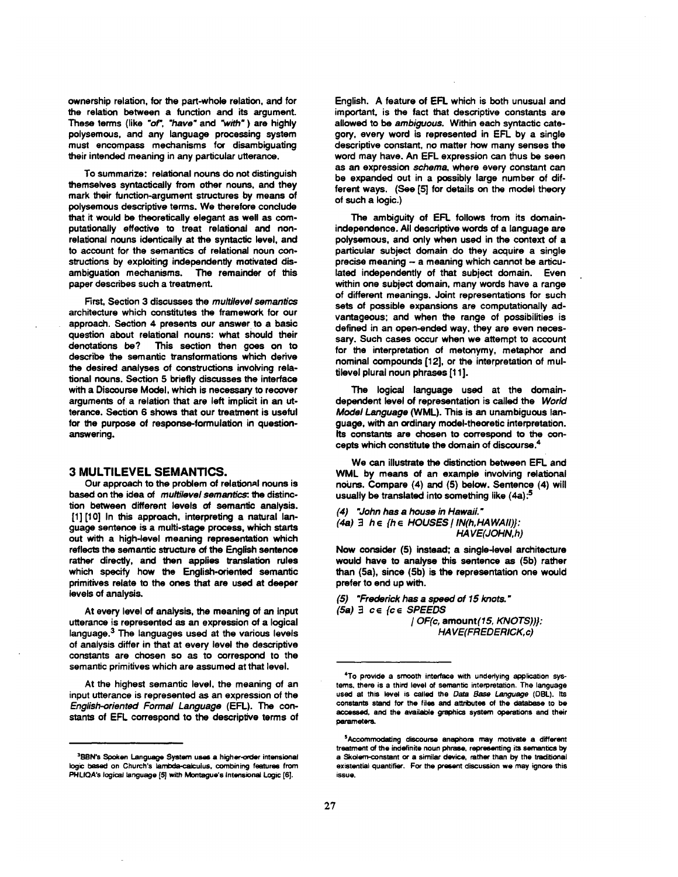ownership relation, for the part-whole relation, and for the relation between a function and its argument. These terms (like "of', *"have" and "with" )* are highly polysemous, and any language processing system must encompass mechanisms for disambiguating their intended meaning in any particular utterance.

To summarize: relational nouns do not distinguish themselves syntactically from other nouns, and they mark their function-argument structures by means of polysemous descriptive terms. We therefore conclude that it would be theoretically elegant as well as computationaily effective to treat relational and nonrelational nouns identically at the syntactic level, and to account for the semantics of relational noun constructions by exploiting independently motivated disambiguation mechanisms. The remainder of this paper describes such a treatment.

First, Section 3 discusses the *multilevel semantics*  architecture which constitutes the framework for our approach. Section 4 presents our answer to a basic question about relational nouns: what should their denotations be? This section then goes on to describe the semantic transformations which derive the desired analyses of constructions involving relational nouns. Section 5 briefly discusses the interface with a Discourse Model, which is necessary to recover arguments of a relation that are left implicit in an utterance. Section 6 shows that our treatment is useful for the purpose of response-formulation in questionanswering.

# 3 MULTILEVEL SEMANTICS.

Our approach to the problem of relational nouns is based on the idea of *multilevel semantics, the* distinction between different levels of semantic analysis. [1] [10] In this approach, interpreting a natural language sentence is a multi-stage process, which starts out with a high-level meaning representation which reflects the semantic structure of the English sentence rather directly, and then applies translation rules which specify how the English-oriented semantic primitives relate to the ones that are used at deeper levels of analysis.

At every level of analysis, the meaning of an input utterance is represented as an expression of a logical language.<sup>3</sup> The languages used at the various levels of analysis differ in that at every level the descriptive constants are chosen so as to correspond to the semantic primitives which are assumed at that level.

At the highest semantic level, the meaning of an input utterance is represented as an expression of the *Eng/ish-oriented Formal Language* (EFL). The constants of EFL correspond to the descriptive terms of English. A feature of EFL which is both unusual and important, is the fact that descriptive constants are allowed to be *ambiguous.* Within each syntactic catsgory, every word is represented in EFL by a single descriptive constant, no matter how many senses the word may have. An EFL expression can thus be seen as an expression *schema,* where every constant can be expanded out in a possibly large number of different ways. (See [5] for details on the model theory of such a logic.)

The ambiguity of EFL follows from its domainindependence. All descriptive words of a language are polysernous, and only when used in the context of a particular subject domain do they acquire a single precise meaning -- a meaning which cannot be articulated independently of that subject domain. Even within one subject domain, many words have a range of different meanings. Joint representations for such sets of possible expansions are computationally advantageous; and when the range of possibilities is defined in an open-ended way, they are even necessary. Such cases occur when we attempt to account for the interpretation of metonymy, metaphor and nominal compounds [12], or the interpretation of multilevel plural noun phrases [11].

The logical language used at the domaindependent level of representation is called the *World Mode/Language* (WML). This is an unambiguous language, with an ordinary model-theoretic interpretation. Its constants are chosen to correspond to the concepts which constitute the domain of discourse. $4$ 

We can illustrate the distinction between EFL and WML by means of an example involving relational nouns. Compare (4) and (5) below. Sentence (4) will usually be translated into something like  $(4a)$ :<sup>5</sup>

*(4) "John has a house in Hawaii." (4a) 3 he {he HOUSES/IN(h,HAWAII)}: HA VE(JOHN, h)* 

Now consider (5) instead; a single-level architecture would have to analyse this sentence as (5b) rather than (Sa), since (5b) is the representation one would prefer to end up with.

*(5) "Frederick has a speed of 15 knots." (5a)*  $\exists$  *c* ∈ *{c e SPEEDS / OF(c, amount(15, KNOTS))}: HA VE(FREDERICK, c)* 

<sup>&</sup>lt;sup>3</sup>BBN's Spoken Language System uses a higher-order intensional logic based on Church's lambda-calculus, combining features from **PHLIQA's logical language [5] with Montague's Intensional Logic [6].** 

<sup>4</sup>To provide a smooth interface with underlying application systems, there is a third level of semantic interpretation. The language used at this level is called the Data Base Language (DBL). Its constants stand for the files and attributes of the database to be accessed, and the available graphics system operations and their parameters.

<sup>&</sup>lt;sup>5</sup>Accommodating discourse anaphora may motivate a different treatment of the indefinite noun phrase, representing its semantics by a Skelem-constant or a similer device, rather than by the traditional existential quantifier. For the present discussion we may ignore this **issue.**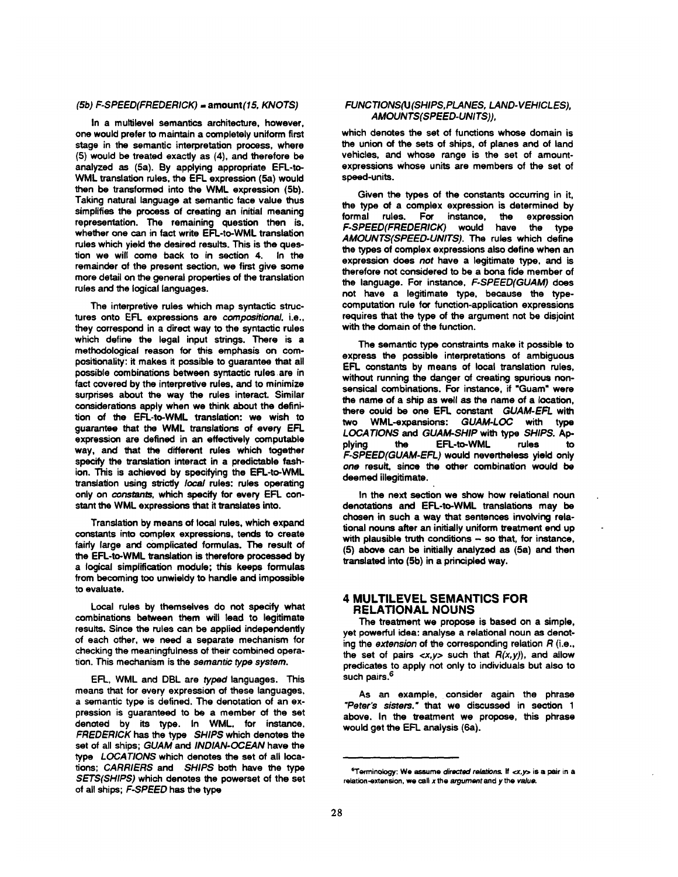# *(Sb) F-SPEED(FREDERICK). amount(15, KNOTS)*

In a multilevel semantics architecture, however, one would prefer to maintain a completely uniform first stage in the semantic interpretation process, where (5) would be treated exactly as (4), and therefore be analyzed as (5a). By applying appropriate EFL-to-WML translation rules, the EFL expression (5a) would then be transformed into the WML expression (5b). Taking natural language at semantic face value thus simplifies the process of creating an initial meaning representation. The remaining question then is, whether one can in fact write EFL-to-WML translation rules which yield the desired results. This is the question we will come back to in section 4. In the remainder of the present section, we first give some more detail on the general properties of the translation rules and the logical languages.

The interpretive rules which map syntactic structures onto EFL expressions are *compositional,* i.e., they correspond in a direct way to the syntactic rules which define the legal input strings. There is a methodological reason for this emphasis on compositionality: it makes it possible to guarantee that all possible combinations between syntactic rules are in fact covered by the interpretive rules, and to minimize surprises about the way the rules interact. Similar considerations apply when we think about the definition of the EFL-to-WML translation: we wish to guarantee that the WML translations of every EFL expression are defined in an effectively computable way, and that the different rules which together specify the translation interact in a predictable fashion. This is achieved by specifying the EFL-to-WML translation using strictly Ioca/rules: rules operating only on *constants,* which specify for every EFt. constant the WML expressions that it translates into.

Translation by means of local rules, which expand constants into complex expressions, tends to create fairly large and complicated formulas. The result of the EFL-to-WML translation is therefore processed by a logical simplification module; this keeps formulas from becoming too unwieldy to handle and impossible to evaluate.

Local rules by themselves do not specify what combinations between them will lead to legitimate results. Since the rules can be applied independently of each other, we need a separate mechanism for checking the meaningfulness of their combined operalion. This mechanism is the *semantic type system.* 

EFL, WML and DBL are typed languages. This means that for every expression of these languages, a semantic type is defined. The denotation of an expression is guaranteed to be a member of the set denoted by its type. In WML, for instance, *FREDERICK has the type SHIPS* which denotes the set of all ships; *GUAM* and *INDIAN-OCEAN* have the type *LOCATIONS* which denotes the set of all locations; *CARRIERS* and *SHIPS both* have the type *SETS(SHIPS)* which denotes the powerset of the set of all ships; *F-SPEED has the type* 

### *FUNC TIONS(U(SHIPS, PLANES, LAND-VEHICLES), AMOUNTS(SPEED.UNITS)),*

which denotes the set of functions whose domain is the union of the sets of ships, of planes and of land vehicles, and whose range is the set of amountexpressions whose units are members of the set of speed-units.

Given the types of the constants occurring in it, the type of a complex expression is determined by formal rules. For instance, the expression *F-SPEED(FREDERICK)* would have the type *AMOUNTS(SPEED-UNITS). The* rules which define the types of complex expressions also define when an expression does not have a legitimate type, and is therefore not considered to be a bona fide member of the language. For instance, *F-SPEED(GUAM)* does not have a legitimate type, because the typecomputation rule for function-application expressions requires that the type of the argument not be disjoint with the domain of the function.

The semantic type constraints make it possible to express the possible interpretations of ambiguous EFL constants by means of local translation rules, without running the danger of creating spurious nonsensical combinations. For instance, if "Guam" were the name of a ship as well as the name of a location, there could be one EFL constant *GUAM.EFL* with two WML-expansions: *GUAM-LOC* with type *LOCATIONS and GUAM-SHIP* with type *SHIPS. Ap*plying the EFL-to-WML rules to *F-SPEED(GUAM-EFL)* would nevertheless yield only *one* result, since the other combination would be deemed illegitimate.

In the next section we show how relational noun denotations and EFL-to-WML translations may be chosen in such a way that sentences involving relational nouns after an initially uniform treatment end up with plausible truth conditions -- so that, for instance, (5) above can be initially analyzed as (5a) and then translated into (5b) in a principled way.

# 4 MULTILEVEL SEMANTICS **FOR**  RELATIONAL NOUNS

The treatment we propose is based on a simple, yet powerful idea: analyse a relational noun as denoting the *extension of the* corresponding relation R (i.e., the set of pairs  $\langle x, y \rangle$  such that  $R(x, y)$ , and allow predicates to apply not only to individuals but also to such pairs.<sup>6</sup>

As an example, consider again the phrase *"Peter's sisters." that* we discussed in section 1 above, in the treatment we propose, this phrase would get the EFL analysis (6a).

<sup>&</sup>lt;sup>6</sup>Terminology: We assume *directed relations*. If <x,y> is a pair in a relation-extension, we call *x the argument and y the value.*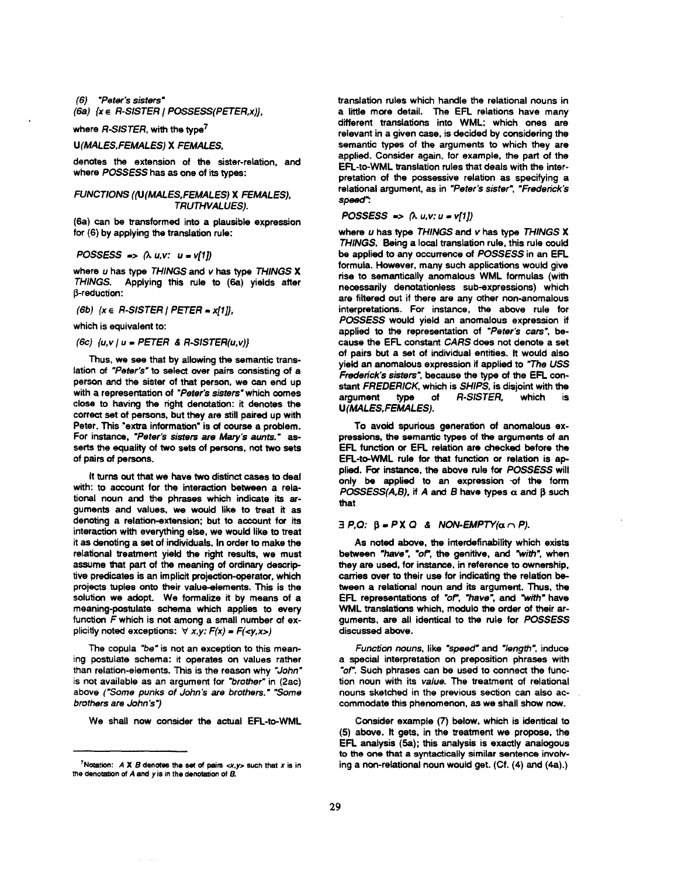*(6) "Peter's sisters"* 

*(6a) {x ~ R-SISTER / POSSESS(PETER,x)},* 

where *R-SISTER*, with the type<sup>7</sup>

*U(MALES, FEMALES) X FEMALES,* 

denotes the extension of the sister-relation, and where *POSSESS* has as one of its types:

### *FUNCTIONS ((U(MALES, FEMALES) X FEMALES), TRUTHVALUES).*

(6a) can be transformed into a plausible expression for (6) by applying the translation rule:

# *POSSESS* =>  $(A, U, V: U = V[1])$

where u has type *THINGS and v has type THINGS X THINGS.* Applying this rule to (6a) yields after  $\beta$ -reduction:

*(6b)*  $\{x \in R\text{-}S\text{/}S\text{}T\text{/}E\text{/}P\text{/}F\text{/}E\text{/}F\text{/}F\text{/}F\}$ 

which is equivalent to:

#### *(6c) {u,v / u = PETER & R-SISTER(u,v)}*

Thus, we see that by allowing the semantic translation of *"Peter's'to* select over pairs consisting of a person and the sister of that person, we can end up with a representation of *"Peter's sisters"* which comes close to having the right denotation: it denotes the correct set of persons, but they are still paired up with Peter. This "extra information" is of course a problem. For instance, *"Peter's sisters are Mary's aunts."* asserts the equality of two sets of persons, not two sets of pairs of parsons.

it turns out that we have two distinct cases to deal with: to account for the interaction between a relational noun and the phrases which indicate its arguments and values, we would like to treat it as denoting a relation-extension; but to account for its interaction with everything else, we would like to treat it as denoting a set of individuals. In order to make the relational treatment yield the right results, we must assume that part of the meaning of ordinary descriptive predicates is an implicit projection-operator, which projects tuples onto their value-elements. This is the solution we adopt. We formalize it by means of a meaning-postulate schema which applies to avery function F which is not among a small number of explicitly noted exceptions:  $\forall$  *x,y: F(x) = F(<y,x>)* 

The copula "be" is not an exception to this meaning postulate schema: it operates on values rather than relation-elements. This is the reason why *"John"*  is not available as an argument for *"brother"* in (2ac) above *('Some punks of John's are brothers." "Some brothers are John's')* 

We shall now consider the actual EFL-to-WML

translation rules which handle the relational nouns in a little more detail. The EFL relations have many different translations into WML; which ones are relevant in a given case, is decided by considering the semantic types of the arguments to which they are applied. Consider again, for example, the part of the EFL-to-WML translation rules that deals with the interpretation of the possessive relation as specifying a relational argument, as in *"Peter's sister', "Frederick's speed':.* 

### *POSSESS =>*  $\alpha$  *u,v: u = v[1])*

where u has type *THINGS* and v has type *THINGS X THINGS.* Being a local translation rule, this rule could be applied to any occurrence of *POSSESS* in an EFL formula. However, many such applications would give rise to semantically anomalous WML formulas (with necessarily denotationless sub-expressions) which are filtered out if there are any other non-anomalous interpretations. For instance, the above rule for *POSSESS* would yield an anomalous expression if applied to the representation of *"Peter's cars',* because the EFL constant *CARS* does not denote a set of pairs but a set of individual entities. It would also yield an anomalous expression if applied to "The *USS Frsderick's sisters',* because the type of the EFL con*stant FREDERICK,* which is *SHIPS,* is disjoint with the argument type of *R-SISTER,* which is *U(MALES, FEMALES).* 

To avoid spurious generation of anomalous expressions, the semantic types of the arguments of an EFL function or EFL relation are checked before the EFL-to-WML rule for that function or relation is applied. For instance, the above rule for *POSSESS* will only be applied to an expression-of the form *POSSESS(A,B), if A and B have types*  $\alpha$  *and*  $\beta$  *such* that

# $\exists P, Q: \beta = P \times Q \land M$  NON-EMPTY( $\alpha \cap P$ ).

As noted above, the interdefinability which exists between "have", "of", the genitive, and "with", when they are used, for instance, in reference to ownership, carries over to their use for indicating the relation between a relational noun and its argument. Thus, the EFL representations of "of', *"have;* and "w/th" have WML translations which, modulo the order of their arguments, are all identical to the rule for *POSSESS*  discussed above.

*Function nouns,* like *"speed"* and *"length',* induce a special interpretation on preposition phrases with "of'. Such phrases can be used to connect the function noun with its *va/ue.* The treatment of relational nouns sketched in the previous section can also accommodate this phenomenon, as we shall show now.

Consider example (7) below, which is identical to (5) above. It gets, in the treatment we propose, the EFL analysis (5a); this analysis is exactly analogous to the one that a syntactically similar sentence involving a non-relational noun would get. (Cf. (4) and (4a).)

<sup>&</sup>lt;sup>7</sup>Notation: A X B denotes the set of pairs  $\langle x, y \rangle$  such that x is in the denotation of A and y is in the denotation of B.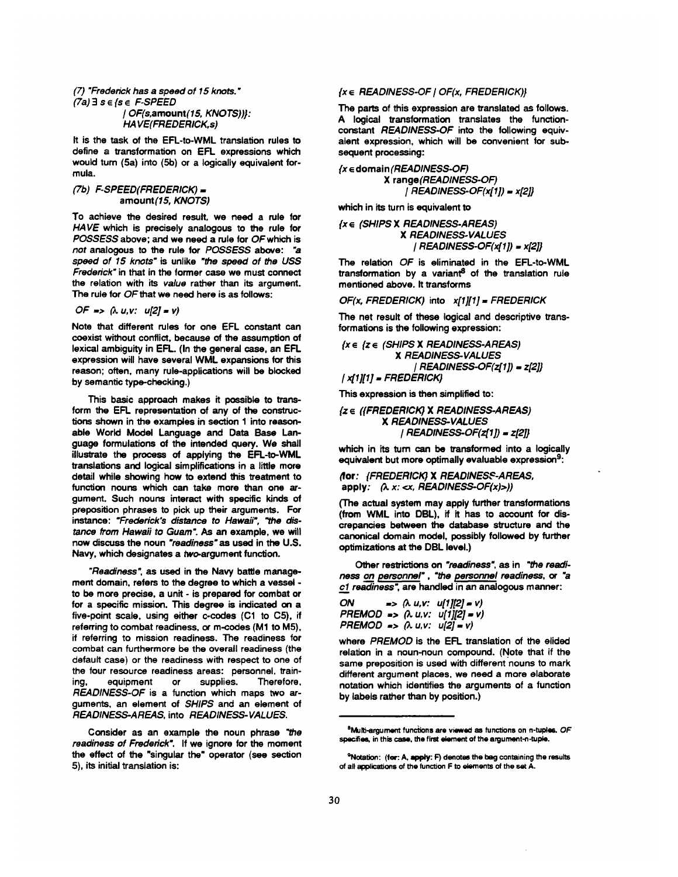### *(7) "Frederick has a speed of 15 knots." (7a) 3 s • {s e F-SPEED / OF(s, amount(15, KNOTS))}: HA VE(FREDERICK, s)*

It is the task of the EFL-to-WML translafion rules to define a transformation on EFL expressions which would turn (5a) into (5b) or a logically equivalent formula.

## *(7b) F-SPEED(FREDERICK). amount(15, KNOTS)*

To achieve the desired result, we need a rule for *HAVE* which is precisely analogous to the rule for *POSSESS above; and* we need a rule for OFwhich is *not* analogous to the rule for *POSSESS* above: "a *speed of 15 knots"* is unlike *"the speed of the USS Frederick"* in that in the former case we must connect the relation with its *value* rather than its argument. The rule for *OF* that we need here is as follows:

$$
OF \Rightarrow (\lambda u, v: u[2] = v)
$$

Note that different rules for one EFL constant can coexist without conflict, because of the assumption of lexical ambiguity in EFL. (In the general case, an EFL expression will have several WML expansions for this reason; often, many rule-applications will be blocked by semantic type-checking.)

This basic approach makes it possible to transform the EFL representation of any of the constructions shown in the examples in section 1 into reasonable World Model Language and Data Base Languago formulations of the intended query. We shall illustrate the process of applying the EFL-to-WML translations and logical simplifications in a little more detail while showing how to extend this treatment to function nouns which can take more than one argument. Such nouns interact with specific kinds of preposition phrases to pick up their arguments. For instance: *"Frederick's distance to Hawaii; "the dis. tance from Hawaii to Guam". As* an example, we will now discuss the noun *"readiness"* as used in the U.S. Navy, which designates a two-argument function.

*"Readiness;* as used in the Navy baffle managemerit domain, refers to the degree to which a vessel to be more precise, a unit - is prepared for combat or for a specific mission. This degree is indicated on a five-point scale, using either c-codes (C1 to C5), if referring to combat readiness, or m-codes (M1 to M5), if referring to mission readiness. The readiness for combat can furthermore be the overall readiness (the default case) or the readiness with respect to one of the four resource readiness areas: personnel, training, equipment or supplies. Therefore, *READINESS-OF* is a function which maps two arguments, an element of *SHIPS* and an element of *READINESS-AREAS,* into *READINESS-VALUES.* 

Consider as an example the noun phrase "the readiness of Frederick". If we ignore for the moment the effect of the "singular the" operator (see section **5),** its initial translation is:

# *{x • READINESS-OF I OF(x, FREDERICK)}*

The parts of this expression are translated as follows. A logical transformation translates the functionconstant *READINESS-OF* into the following equivalent expression, which will be convenient for subsequent processing:

*{x •* domain *(READINESS-OF) X range(READINESS-OF) / READINESS-OF(x[1]), x[2]}* 

which in its turn is equivalent to

*{x ~ (SHIPS X READINESS-AREAS) X READINESS.VALUES / READINESS-OF(x[ 1]) = x[2]}* 

The relation *OF* is eliminated in the EFL-to-WML transformation by a variant<sup>8</sup> of the translation rule mentioned above. It transforms

*OF(x, FREDERICK)* into *x[1][1], FREDERICK* 

The net result of these logical and descriptive transformations is the following expression:

$$
\{x \in \{z \in (\text{SHIPS X READINGSS-AREAS}) \times \text{READINESS-VALUES} \times \text{READINESS-OF}(z[1]) = z[2] \}
$$
\n
$$
|\langle x[1][1] \rangle = \text{FREDERICK}
$$

This expression is then simplified to:

$$
\{z \in \{ \text{FREDERICK, X READINGSS-AREAS} \}
$$
\n
$$
X READINGSS-VALUES
$$
\n
$$
B EADINESS-OF(z[1]) = z[2]\}
$$

which in its turn can be transformed into a logically equivalent but more optimally evaluable expression<sup>9</sup>:

(for: *{FREDERICK} X READINESF-AREAS,*  apply:  $(A x: ))$ 

(The actual system may apply further transformations (from WML into DBL), if it has to account for discrepancies between the database structure and the canonical domain model, possibly followed by further optimizations at the DBL level.)

Other restrictions on "readiness", as in "the readiness on personnel", "the personnel readiness, or "a *c l readiness',* are handled in an analogous manner:

*ON*  $\Rightarrow \alpha u, v: u[1][2] \Rightarrow v$  $P$ *REMOD =>*  $\Lambda$  *u,v: u[1][2] = v) PREMOD =>*  $(\lambda u, v: u/2) = v$ 

where *PREMOD* is the EFL translation of the elided relation in a noun-noun compound. (Note that if the same preposition is used with different nouns to mark different argument places, we need a more elaborate notation which identifies the arguments of a function by labels rather than by position.)

<sup>&</sup>lt;sup>8</sup>Multi-argument functions are viewed as functions on n-tuples. OF specifies, in this case, the first element of the argument-n-tuple.

<sup>&</sup>lt;sup>9</sup>Notation: (for: A, apply: F) denotes the bag containing the results of all applications of the function F to elements of the set A.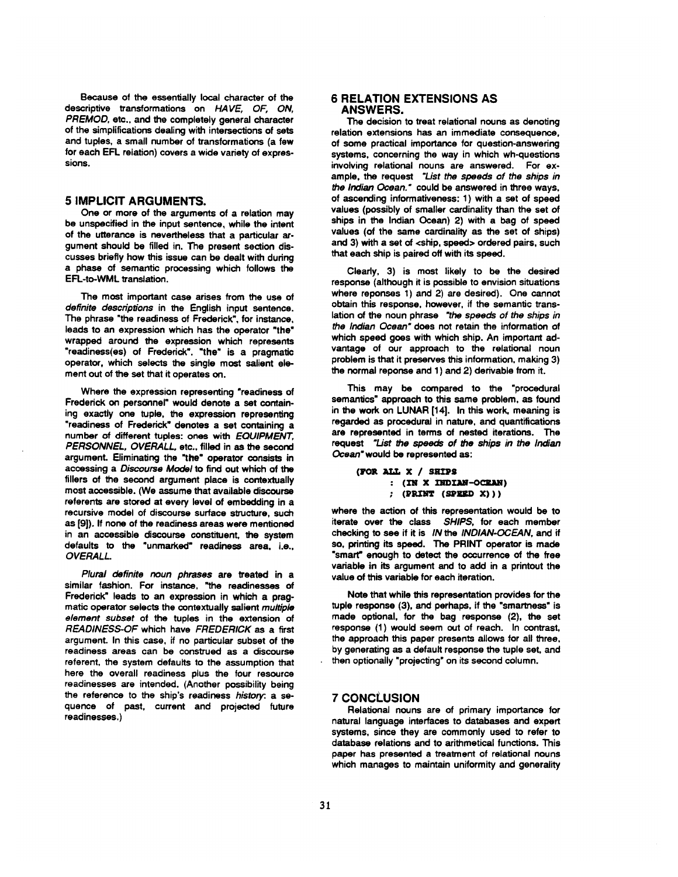Because of the essentially local character of the descriptive transformations on *HAVE, OF, ON, PREMOD,* etc., and the completely general character of the simplifications dealing with intersections of sets and tuples, a small number of transformations (a few for each EFL relation) covers a wide variety of expressions.

# **5 IMPLICIT ARGUMENTS.**

One or more of the arguments of a relation may be unspecified in the input sentence, while the intent of the utterance is nevertheless that a particular argument should be filled in. The present section discusses briefly how this issue can be dealt with during a phase of semantic processing which follows the EFL-to-WML translation.

The most important case arises from the usa of *definite descriptions* in the English input sentence. The phrase \*the readiness of Frederick", for instance, leads to an expression which has the operator **"the"**  wrapped around the expression which represents "readiness(as) of Frederick'. "the" is a pragmatic operator, which selects the single most salient element out of the set that it operates on.

Where the expression representing "readiness of Frederick on personnel" would denote a set containing exactly one tuple, the expression representing "readiness of Frederick" denotes a set containing a number of different tuples: ones with *EQUIPMENT, PERSONNEL, OVERALL,* etc., filled in as the second argument. Eliminating the "the" operator consists in accessing a *Discourse Model* to find out which of the fillers of the second argument place is contextually most accessible. (We assume that available discourse referents are stored at every level of embedding in a recursive model of discourse surface structure, such as [9]). If none of the readiness areas were mentioned in an accessible discourse constituent, the system defaults to the "unmarked" readiness area, i.e., *OVERALL* 

*Plural definite noun phrases are* treated in a similar fashion. For instance, "the readinesses of Frederick" leads to an expression in which a pragmatic operator selects the contextually salient *multiple element subset* of the tuples in the extension of *READINESS-OF* which have *FREDERICK* as a first argument. In this case, if no particular subset of the readiness areas can be construed as a discourse referent, the system defaults to the assumption that here the overall readiness plus the four resource readinesses are intended. (Another possibility being the reference to the ship's readiness history: a sequence of past, current and projected future readinesses.)

# **6 RELATION EXTENSIONS AS ANSWERS.**

The decision to treat relational nouns as denoting relation extensions has an immediate consequence, of some practical importance for question-answering systems, concerning the way in which wh-questions involving relational nouns are answered. For example, the request *"List the speeds of the ships in the Indian Ocean."* could be answered in three ways, of ascending informativeness: 1) with a set of speed values (possibly of smaller cardinality than the set of ships in the Indian Ocean) 2) with a bag of speed values (of the same cardinality as the set of ships) and 3) with a set of <ship, speed> ordered pairs, such that each ship is paired off with its speed.

Clearly, 3) is most likely to be the desired response (although it is possible to envision situations where reponses 1) and 2) are desired). One cannot obtain this response, however, if the semantic translation of the noun phrase "the *speeds of the ships in the Indian Ocean"* does not retain the information of which speed goes with which ship. An important advantage of our approach to the relational noun problem is that it preserves this information, making 3) the normal reponse and 1) and 2) derivable from it.

This may be compared to the "procedural semantics" approach to this same problem, as found in the work on LUNAR [14]. In this work, meaning is regarded as procedural in nature, and quantifications are represented in terms of nested iterations. The request "List the speeds of the ships in the Indian Ocean'would be represented as:

```
(FOR ALL X / SHIPS
: (IN X INDIAN-OCEAN)
; (PRINT (SPRED X) )
```
where the action of this representation would be to iterate over the class *SHIPS,* for each member checking to see if it is *IN the INDIAN.OCEAN,* and if so, printing its speed. The PRINT operator is made "smart" enough to detect the occurrence of the free variable in its argument and to add in a printout the value of this variable for each iteration.

Note that while this representation provides for the tuple response (3), and perhaps, if the "smartness" is made optional, for the bag response (2), the set response (1) would seem out of reach. In contrast, the approach this paper presents allows for all three, by generating as a default response the tuple set, and then optionally "projecting" on its second column.

# **7 CONCLUSION**

Relational nouns are of primary importance for natural language interfaces to databases and expert systems, since they are commonly used to refer to database relations and to arithmetical functions. This paper has presented a treatment of relational nouns which manages to maintain uniformity and generality